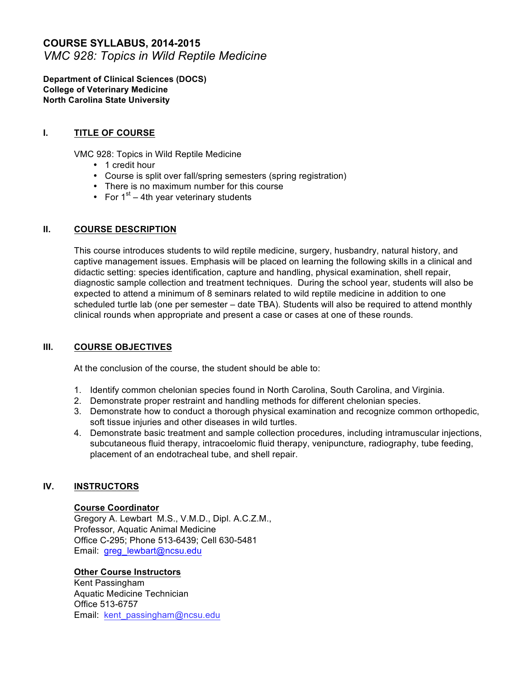# **COURSE SYLLABUS, 2014-2015** *VMC 928: Topics in Wild Reptile Medicine*

**Department of Clinical Sciences (DOCS) College of Veterinary Medicine North Carolina State University**

## **I. TITLE OF COURSE**

VMC 928: Topics in Wild Reptile Medicine

- 1 credit hour
- Course is split over fall/spring semesters (spring registration)
- There is no maximum number for this course
- For  $1^{st}$  4th year veterinary students

### **II. COURSE DESCRIPTION**

This course introduces students to wild reptile medicine, surgery, husbandry, natural history, and captive management issues. Emphasis will be placed on learning the following skills in a clinical and didactic setting: species identification, capture and handling, physical examination, shell repair, diagnostic sample collection and treatment techniques. During the school year, students will also be expected to attend a minimum of 8 seminars related to wild reptile medicine in addition to one scheduled turtle lab (one per semester – date TBA). Students will also be required to attend monthly clinical rounds when appropriate and present a case or cases at one of these rounds.

#### **III. COURSE OBJECTIVES**

At the conclusion of the course, the student should be able to:

- 1. Identify common chelonian species found in North Carolina, South Carolina, and Virginia.
- 2. Demonstrate proper restraint and handling methods for different chelonian species.
- 3. Demonstrate how to conduct a thorough physical examination and recognize common orthopedic, soft tissue injuries and other diseases in wild turtles.
- 4. Demonstrate basic treatment and sample collection procedures, including intramuscular injections, subcutaneous fluid therapy, intracoelomic fluid therapy, venipuncture, radiography, tube feeding, placement of an endotracheal tube, and shell repair.

### **IV. INSTRUCTORS**

#### **Course Coordinator**

Gregory A. Lewbart M.S., V.M.D., Dipl. A.C.Z.M., Professor, Aquatic Animal Medicine Office C-295; Phone 513-6439; Cell 630-5481 Email: greg\_lewbart@ncsu.edu

### **Other Course Instructors**

Kent Passingham Aquatic Medicine Technician Office 513-6757 Email: kent\_passingham@ncsu.edu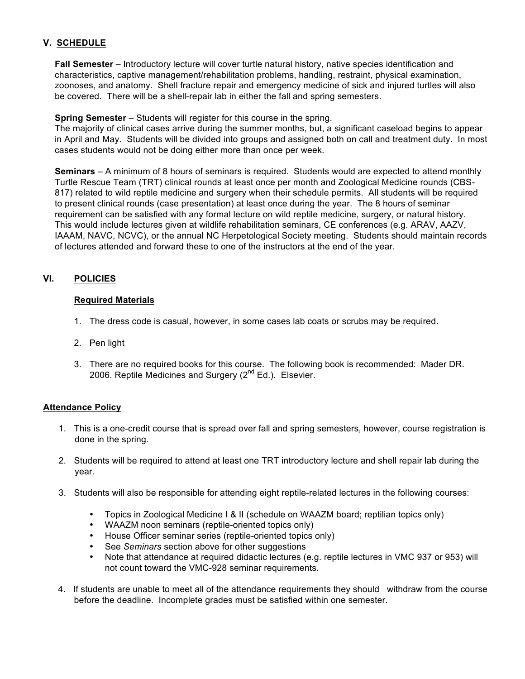## **V. SCHEDULE**

**Fall Semester** – Introductory lecture will cover turtle natural history, native species identification and characteristics, captive management/rehabilitation problems, handling, restraint, physical examination, zoonoses, and anatomy. Shell fracture repair and emergency medicine of sick and injured turtles will also be covered. There will be a shell-repair lab in either the fall and spring semesters.

**Spring Semester** – Students will register for this course in the spring.

The majority of clinical cases arrive during the summer months, but, a significant caseload begins to appear in April and May. Students will be divided into groups and assigned both on call and treatment duty. In most cases students would not be doing either more than once per week.

**Seminars** – A minimum of 8 hours of seminars is required. Students would are expected to attend monthly Turtle Rescue Team (TRT) clinical rounds at least once per month and Zoological Medicine rounds (CBS-817) related to wild reptile medicine and surgery when their schedule permits. All students will be required to present clinical rounds (case presentation) at least once during the year. The 8 hours of seminar requirement can be satisfied with any formal lecture on wild reptile medicine, surgery, or natural history. This would include lectures given at wildlife rehabilitation seminars, CE conferences (e.g. ARAV, AAZV, IAAAM, NAVC, NCVC), or the annual NC Herpetological Society meeting. Students should maintain records of lectures attended and forward these to one of the instructors at the end of the year.

# **VI. POLICIES**

### **Required Materials**

- 1. The dress code is casual, however, in some cases lab coats or scrubs may be required.
- 2. Pen light
- 3. There are no required books for this course. The following book is recommended: Mader DR. 2006. Reptile Medicines and Surgery  $(2^{nd}$  Ed.). Elsevier.

### **Attendance Policy**

- 1. This is a one-credit course that is spread over fall and spring semesters, however, course registration is done in the spring.
- 2. Students will be required to attend at least one TRT introductory lecture and shell repair lab during the year.
- 3. Students will also be responsible for attending eight reptile-related lectures in the following courses:
	- Topics in Zoological Medicine I & II (schedule on WAAZM board; reptilian topics only)
	- WAAZM noon seminars (reptile-oriented topics only)
	- House Officer seminar series (reptile-oriented topics only)
	- See *Seminars* section above for other suggestions
	- Note that attendance at required didactic lectures (e.g. reptile lectures in VMC 937 or 953) will not count toward the VMC-928 seminar requirements.
- 4. If students are unable to meet all of the attendance requirements they should withdraw from the course before the deadline. Incomplete grades must be satisfied within one semester.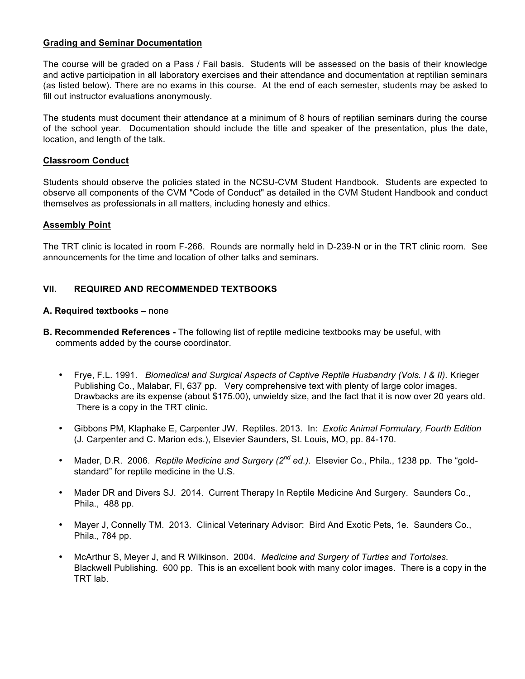### **Grading and Seminar Documentation**

The course will be graded on a Pass / Fail basis. Students will be assessed on the basis of their knowledge and active participation in all laboratory exercises and their attendance and documentation at reptilian seminars (as listed below). There are no exams in this course. At the end of each semester, students may be asked to fill out instructor evaluations anonymously.

The students must document their attendance at a minimum of 8 hours of reptilian seminars during the course of the school year. Documentation should include the title and speaker of the presentation, plus the date, location, and length of the talk.

#### **Classroom Conduct**

Students should observe the policies stated in the NCSU-CVM Student Handbook. Students are expected to observe all components of the CVM "Code of Conduct" as detailed in the CVM Student Handbook and conduct themselves as professionals in all matters, including honesty and ethics.

#### **Assembly Point**

The TRT clinic is located in room F-266. Rounds are normally held in D-239-N or in the TRT clinic room. See announcements for the time and location of other talks and seminars.

### **VII. REQUIRED AND RECOMMENDED TEXTBOOKS**

#### **A. Required textbooks –** none

- **B. Recommended References -** The following list of reptile medicine textbooks may be useful, with comments added by the course coordinator.
	- Frye, F.L. 1991. *Biomedical and Surgical Aspects of Captive Reptile Husbandry (Vols. I & II).* Krieger Publishing Co., Malabar, Fl, 637 pp. Very comprehensive text with plenty of large color images. Drawbacks are its expense (about \$175.00), unwieldy size, and the fact that it is now over 20 years old. There is a copy in the TRT clinic.
	- Gibbons PM, Klaphake E, Carpenter JW. Reptiles. 2013. In: *Exotic Animal Formulary, Fourth Edition* (J. Carpenter and C. Marion eds.), Elsevier Saunders, St. Louis, MO, pp. 84-170.
	- Mader, D.R. 2006. *Reptile Medicine and Surgery (2nd ed.)*. Elsevier Co., Phila., 1238 pp. The "goldstandard" for reptile medicine in the U.S.
	- Mader DR and Divers SJ. 2014. Current Therapy In Reptile Medicine And Surgery. Saunders Co., Phila., 488 pp.
	- Mayer J, Connelly TM. 2013. Clinical Veterinary Advisor: Bird And Exotic Pets, 1e. Saunders Co., Phila., 784 pp.
	- McArthur S, Meyer J, and R Wilkinson. 2004. *Medicine and Surgery of Turtles and Tortoises*. Blackwell Publishing. 600 pp. This is an excellent book with many color images. There is a copy in the TRT lab.